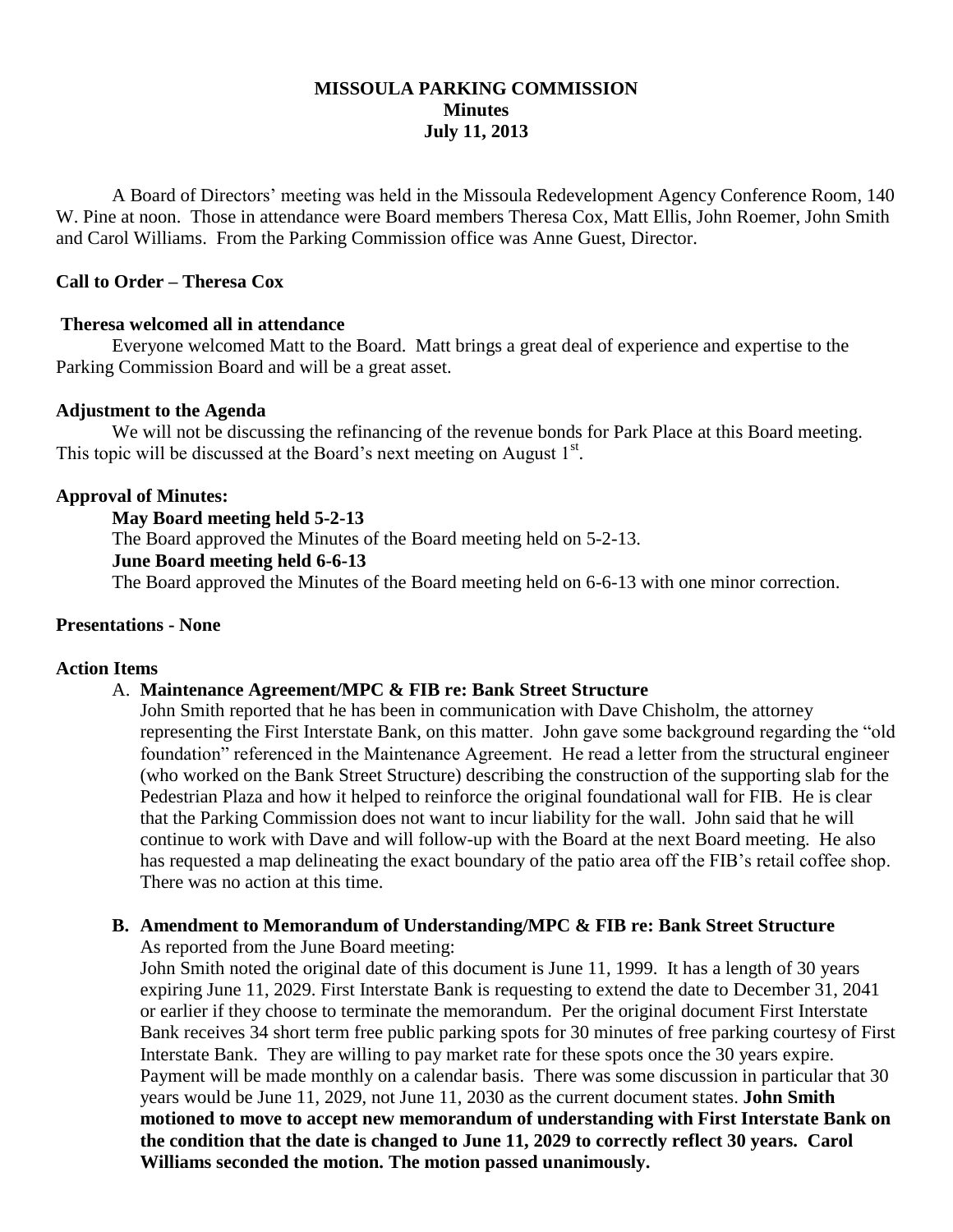# **MISSOULA PARKING COMMISSION Minutes July 11, 2013**

A Board of Directors' meeting was held in the Missoula Redevelopment Agency Conference Room, 140 W. Pine at noon. Those in attendance were Board members Theresa Cox, Matt Ellis, John Roemer, John Smith and Carol Williams. From the Parking Commission office was Anne Guest, Director.

## **Call to Order – Theresa Cox**

### **Theresa welcomed all in attendance**

Everyone welcomed Matt to the Board. Matt brings a great deal of experience and expertise to the Parking Commission Board and will be a great asset.

#### **Adjustment to the Agenda**

We will not be discussing the refinancing of the revenue bonds for Park Place at this Board meeting. This topic will be discussed at the Board's next meeting on August 1<sup>st</sup>.

### **Approval of Minutes:**

**May Board meeting held 5-2-13** The Board approved the Minutes of the Board meeting held on 5-2-13. **June Board meeting held 6-6-13**

The Board approved the Minutes of the Board meeting held on 6-6-13 with one minor correction.

#### **Presentations - None**

#### **Action Items**

### A. **Maintenance Agreement/MPC & FIB re: Bank Street Structure**

John Smith reported that he has been in communication with Dave Chisholm, the attorney representing the First Interstate Bank, on this matter. John gave some background regarding the "old foundation" referenced in the Maintenance Agreement. He read a letter from the structural engineer (who worked on the Bank Street Structure) describing the construction of the supporting slab for the Pedestrian Plaza and how it helped to reinforce the original foundational wall for FIB. He is clear that the Parking Commission does not want to incur liability for the wall. John said that he will continue to work with Dave and will follow-up with the Board at the next Board meeting. He also has requested a map delineating the exact boundary of the patio area off the FIB's retail coffee shop. There was no action at this time.

#### **B. Amendment to Memorandum of Understanding/MPC & FIB re: Bank Street Structure** As reported from the June Board meeting:

John Smith noted the original date of this document is June 11, 1999. It has a length of 30 years expiring June 11, 2029. First Interstate Bank is requesting to extend the date to December 31, 2041 or earlier if they choose to terminate the memorandum. Per the original document First Interstate Bank receives 34 short term free public parking spots for 30 minutes of free parking courtesy of First Interstate Bank. They are willing to pay market rate for these spots once the 30 years expire. Payment will be made monthly on a calendar basis.There was some discussion in particular that 30 years would be June 11, 2029, not June 11, 2030 as the current document states. **John Smith motioned to move to accept new memorandum of understanding with First Interstate Bank on the condition that the date is changed to June 11, 2029 to correctly reflect 30 years. Carol Williams seconded the motion. The motion passed unanimously.**